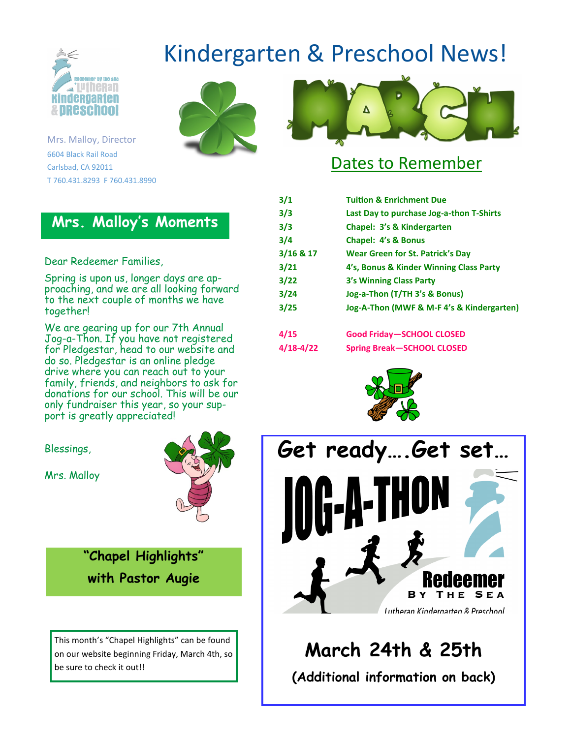

Kindergarten & Preschool News!





### Dates to Remember

| 3/1         | <b>Tuition &amp; Enrichment Due</b>       |
|-------------|-------------------------------------------|
| 3/3         | Last Day to purchase Jog-a-thon T-Shirts  |
| 3/3         | Chapel: 3's & Kindergarten                |
| 3/4         | Chapel: 4's & Bonus                       |
| $3/16$ & 17 | <b>Wear Green for St. Patrick's Day</b>   |
| 3/21        | 4's, Bonus & Kinder Winning Class Party   |
| 3/22        | 3's Winning Class Party                   |
| 3/24        | Jog-a-Thon (T/TH 3's & Bonus)             |
| 3/25        | Jog-A-Thon (MWF & M-F 4's & Kindergarten) |
| 4/15        | <b>Good Friday-SCHOOL CLOSED</b>          |
| 4/18-4/22   | <b>Spring Break-SCHOOL CLOSED</b>         |





### **March 24th & 25th**

**(Additional information on back)**

Mrs. Malloy, Director 6604 Black Rail Road Carlsbad, CA 92011 T 760.431.8293 F 760.431.8990

### **Mrs. Malloy's Moments**

#### Dear Redeemer Families,

Spring is upon us, longer days are approaching, and we are all looking forward to the next couple of months we have together!

We are gearing up for our 7th Annual Jog-a-Thon. If you have not registered for Pledgestar, head to our website and do so. Pledgestar is an online pledge drive where you can reach out to your family, friends, and neighbors to ask for donations for our school. This will be our only fundraiser this year, so your support is greatly appreciated!

Blessings,

Mrs. Malloy



**"Chapel Highlights" with Pastor Augie**

This month's "Chapel Highlights" can be found on our website beginning Friday, March 4th, so be sure to check it out!!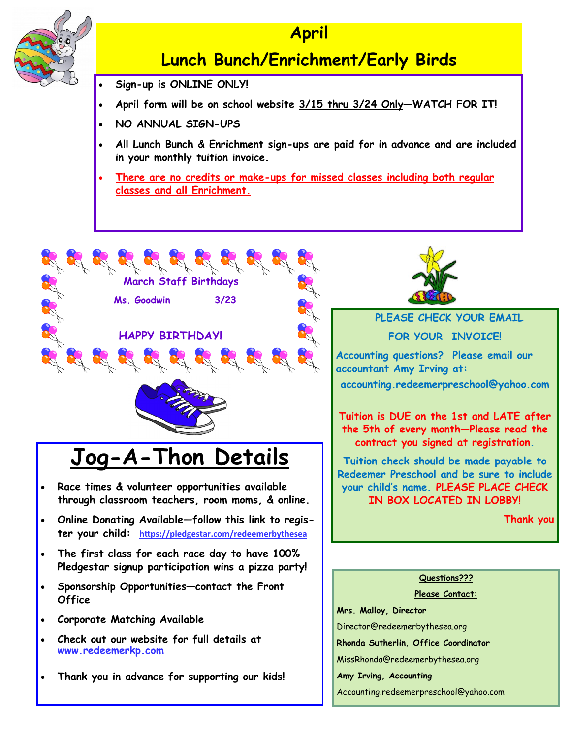

### **April**

### **Lunch Bunch/Enrichment/Early Birds**

- **Sign-up is ONLINE ONLY!**
- **April form will be on school website 3/15 thru 3/24 Only—WATCH FOR IT!**
- **NO ANNUAL SIGN-UPS**
- **All Lunch Bunch & Enrichment sign-ups are paid for in advance and are included in your monthly tuition invoice.**
- **There are no credits or make-ups for missed classes including both regular classes and all Enrichment.**



# **Jog-A-Thon Details**

- **Race times & volunteer opportunities available through classroom teachers, room moms, & online.**
- **Online Donating Available—follow this link to register your child: [https://pledgestar.com/redeemerbythesea](https://pledgestar.com/redeemerbythesea/)**
- **The first class for each race day to have 100% Pledgestar signup participation wins a pizza party!**
- **Sponsorship Opportunities—contact the Front Office**
- **Corporate Matching Available**
- **Check out our website for full details at www.redeemerkp.com**
- **Thank you in advance for supporting our kids!**



### **PLEASE CHECK YOUR EMAIL**

**FOR YOUR INVOICE!**

**Accounting questions? Please email our accountant Amy Irving at:** 

**accounting.redeemerpreschool@yahoo.com**

**Tuition is DUE on the 1st and LATE after the 5th of every month—Please read the contract you signed at registration.**

**Tuition check should be made payable to Redeemer Preschool and be sure to include your child's name. PLEASE PLACE CHECK IN BOX LOCATED IN LOBBY!** 

**Thank you**

#### **Questions???**

**Please Contact:**

**Mrs. Malloy, Director**

Director@redeemerbythesea.org

**Rhonda Sutherlin, Office Coordinator**

MissRhonda@redeemerbythesea.org

**Amy Irving, Accounting**

Accounting.redeemerpreschool@yahoo.com